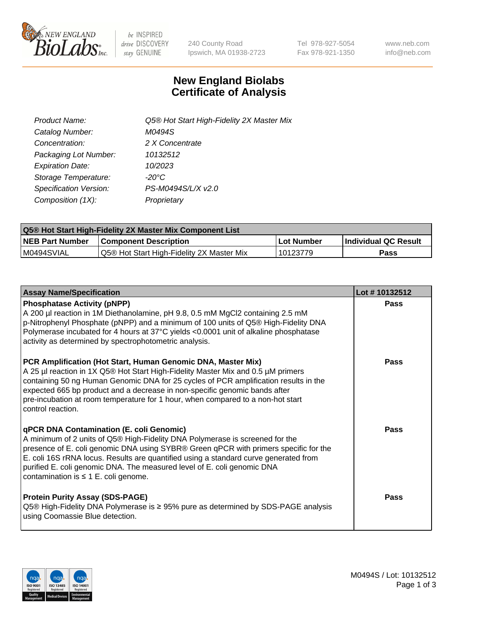

 $be$  INSPIRED drive DISCOVERY stay GENUINE

240 County Road Ipswich, MA 01938-2723 Tel 978-927-5054 Fax 978-921-1350 www.neb.com info@neb.com

## **New England Biolabs Certificate of Analysis**

| Product Name:           | Q5® Hot Start High-Fidelity 2X Master Mix |
|-------------------------|-------------------------------------------|
| Catalog Number:         | M0494S                                    |
| Concentration:          | 2 X Concentrate                           |
| Packaging Lot Number:   | 10132512                                  |
| <b>Expiration Date:</b> | 10/2023                                   |
| Storage Temperature:    | $-20^{\circ}$ C                           |
| Specification Version:  | PS-M0494S/L/X v2.0                        |
| Composition (1X):       | Proprietary                               |

| <b>Q5® Hot Start High-Fidelity 2X Master Mix Component List</b> |                                           |             |                      |  |  |
|-----------------------------------------------------------------|-------------------------------------------|-------------|----------------------|--|--|
| <b>NEB Part Number</b>                                          | Component Description_                    | ∣Lot Number | Individual QC Result |  |  |
| I M0494SVIAL                                                    | Q5® Hot Start High-Fidelity 2X Master Mix | 10123779    | Pass                 |  |  |

| <b>Assay Name/Specification</b>                                                                                                                                                                                                                                                                                                                                                                                                         | Lot #10132512 |
|-----------------------------------------------------------------------------------------------------------------------------------------------------------------------------------------------------------------------------------------------------------------------------------------------------------------------------------------------------------------------------------------------------------------------------------------|---------------|
| <b>Phosphatase Activity (pNPP)</b><br>A 200 µl reaction in 1M Diethanolamine, pH 9.8, 0.5 mM MgCl2 containing 2.5 mM<br>p-Nitrophenyl Phosphate (pNPP) and a minimum of 100 units of Q5® High-Fidelity DNA<br>Polymerase incubated for 4 hours at 37°C yields <0.0001 unit of alkaline phosphatase<br>activity as determined by spectrophotometric analysis.                                                                            | Pass          |
| PCR Amplification (Hot Start, Human Genomic DNA, Master Mix)<br>A 25 µl reaction in 1X Q5® Hot Start High-Fidelity Master Mix and 0.5 µM primers<br>containing 50 ng Human Genomic DNA for 25 cycles of PCR amplification results in the<br>expected 665 bp product and a decrease in non-specific genomic bands after<br>pre-incubation at room temperature for 1 hour, when compared to a non-hot start<br>control reaction.          | Pass          |
| <b>qPCR DNA Contamination (E. coli Genomic)</b><br>A minimum of 2 units of Q5® High-Fidelity DNA Polymerase is screened for the<br>presence of E. coli genomic DNA using SYBR® Green qPCR with primers specific for the<br>E. coli 16S rRNA locus. Results are quantified using a standard curve generated from<br>purified E. coli genomic DNA. The measured level of E. coli genomic DNA<br>contamination is $\leq 1$ E. coli genome. | Pass          |
| <b>Protein Purity Assay (SDS-PAGE)</b><br>Q5® High-Fidelity DNA Polymerase is ≥ 95% pure as determined by SDS-PAGE analysis<br>using Coomassie Blue detection.                                                                                                                                                                                                                                                                          | Pass          |

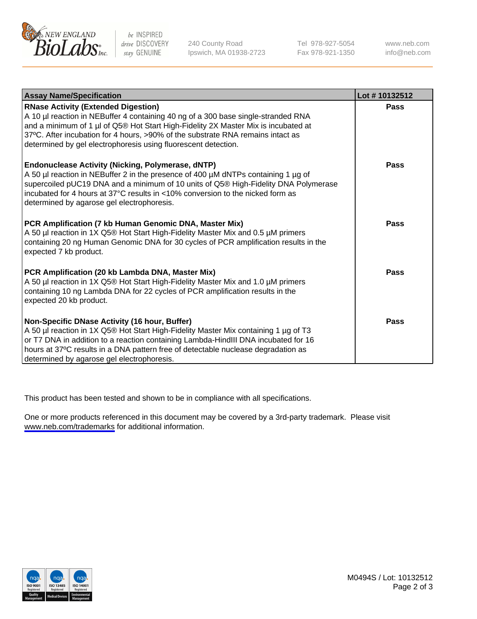

be INSPIRED drive DISCOVERY stay GENUINE

240 County Road Ipswich, MA 01938-2723 Tel 978-927-5054 Fax 978-921-1350

www.neb.com info@neb.com

| <b>Assay Name/Specification</b>                                                                                                                                                                                                                                                                                                                                            | Lot #10132512 |
|----------------------------------------------------------------------------------------------------------------------------------------------------------------------------------------------------------------------------------------------------------------------------------------------------------------------------------------------------------------------------|---------------|
| <b>RNase Activity (Extended Digestion)</b><br>A 10 µl reaction in NEBuffer 4 containing 40 ng of a 300 base single-stranded RNA<br>and a minimum of 1 µl of Q5® Hot Start High-Fidelity 2X Master Mix is incubated at<br>37°C. After incubation for 4 hours, >90% of the substrate RNA remains intact as<br>determined by gel electrophoresis using fluorescent detection. | Pass          |
| <b>Endonuclease Activity (Nicking, Polymerase, dNTP)</b><br>A 50 µl reaction in NEBuffer 2 in the presence of 400 µM dNTPs containing 1 µg of<br>supercoiled pUC19 DNA and a minimum of 10 units of Q5® High-Fidelity DNA Polymerase<br>incubated for 4 hours at 37°C results in <10% conversion to the nicked form as<br>determined by agarose gel electrophoresis.       | Pass          |
| PCR Amplification (7 kb Human Genomic DNA, Master Mix)<br>A 50 µl reaction in 1X Q5® Hot Start High-Fidelity Master Mix and 0.5 µM primers<br>containing 20 ng Human Genomic DNA for 30 cycles of PCR amplification results in the<br>expected 7 kb product.                                                                                                               | Pass          |
| PCR Amplification (20 kb Lambda DNA, Master Mix)<br>A 50 µl reaction in 1X Q5® Hot Start High-Fidelity Master Mix and 1.0 µM primers<br>containing 10 ng Lambda DNA for 22 cycles of PCR amplification results in the<br>expected 20 kb product.                                                                                                                           | Pass          |
| Non-Specific DNase Activity (16 hour, Buffer)<br>A 50 µl reaction in 1X Q5® Hot Start High-Fidelity Master Mix containing 1 µg of T3<br>or T7 DNA in addition to a reaction containing Lambda-HindIII DNA incubated for 16<br>hours at 37°C results in a DNA pattern free of detectable nuclease degradation as<br>determined by agarose gel electrophoresis.              | Pass          |

This product has been tested and shown to be in compliance with all specifications.

One or more products referenced in this document may be covered by a 3rd-party trademark. Please visit <www.neb.com/trademarks>for additional information.